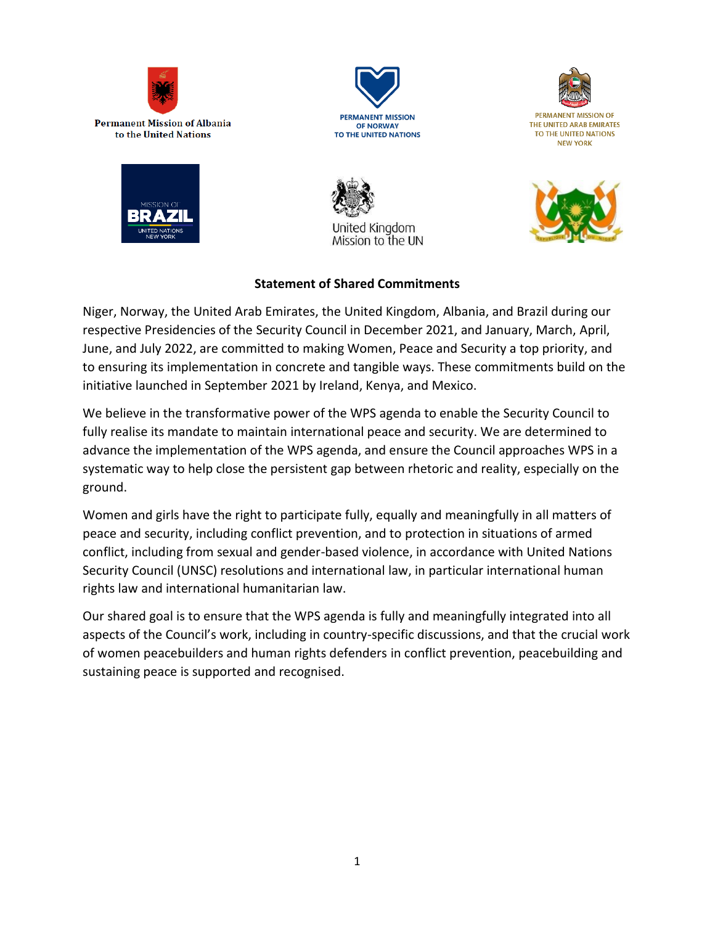







**PERMANENT MISSION OF** THE UNITED ARAB EMIRATES TO THE UNITED NATIONS **NEW YORK** 





## **Statement of Shared Commitments**

Niger, Norway, the United Arab Emirates, the United Kingdom, Albania, and Brazil during our respective Presidencies of the Security Council in December 2021, and January, March, April, June, and July 2022, are committed to making Women, Peace and Security a top priority, and to ensuring its implementation in concrete and tangible ways. These commitments build on the initiative launched in September 2021 by Ireland, Kenya, and Mexico.

We believe in the transformative power of the WPS agenda to enable the Security Council to fully realise its mandate to maintain international peace and security. We are determined to advance the implementation of the WPS agenda, and ensure the Council approaches WPS in a systematic way to help close the persistent gap between rhetoric and reality, especially on the ground.

Women and girls have the right to participate fully, equally and meaningfully in all matters of peace and security, including conflict prevention, and to protection in situations of armed conflict, including from sexual and gender-based violence, in accordance with United Nations Security Council (UNSC) resolutions and international law, in particular international human rights law and international humanitarian law.

Our shared goal is to ensure that the WPS agenda is fully and meaningfully integrated into all aspects of the Council's work, including in country-specific discussions, and that the crucial work of women peacebuilders and human rights defenders in conflict prevention, peacebuilding and sustaining peace is supported and recognised.